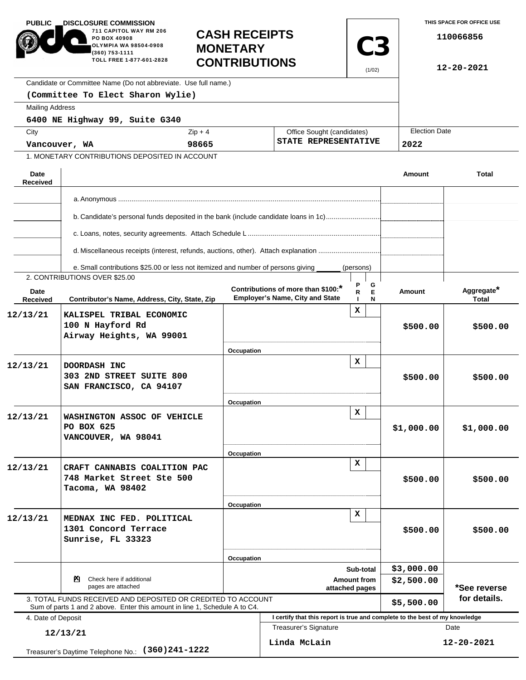| <b>PUBLIC</b><br><b>DISCLOSURE COMMISSION</b><br>711 CAPITOL WAY RM 206<br>PO BOX 40908<br>OLYMPIA WA 98504-0908<br>(360) 753-1111<br>TOLL FREE 1-877-601-2828 |                                                                                                                                            | <b>MONETARY</b>                         | <b>CASH RECEIPTS</b><br><b>CONTRIBUTIONS</b>                                |                      | <b>C3</b>            | THIS SPACE FOR OFFICE USE<br>110066856<br>12-20-2021 |  |
|----------------------------------------------------------------------------------------------------------------------------------------------------------------|--------------------------------------------------------------------------------------------------------------------------------------------|-----------------------------------------|-----------------------------------------------------------------------------|----------------------|----------------------|------------------------------------------------------|--|
|                                                                                                                                                                | Candidate or Committee Name (Do not abbreviate. Use full name.)                                                                            |                                         |                                                                             |                      |                      |                                                      |  |
|                                                                                                                                                                | (Committee To Elect Sharon Wylie)                                                                                                          |                                         |                                                                             |                      |                      |                                                      |  |
| <b>Mailing Address</b>                                                                                                                                         |                                                                                                                                            |                                         |                                                                             |                      |                      |                                                      |  |
|                                                                                                                                                                | 6400 NE Highway 99, Suite G340                                                                                                             |                                         |                                                                             |                      |                      |                                                      |  |
| City                                                                                                                                                           |                                                                                                                                            | $Zip + 4$<br>Office Sought (candidates) |                                                                             |                      | <b>Election Date</b> | 2022                                                 |  |
| Vancouver, WA                                                                                                                                                  |                                                                                                                                            | 98665                                   |                                                                             | STATE REPRESENTATIVE |                      |                                                      |  |
|                                                                                                                                                                | 1. MONETARY CONTRIBUTIONS DEPOSITED IN ACCOUNT                                                                                             |                                         |                                                                             |                      |                      |                                                      |  |
| Date<br><b>Received</b>                                                                                                                                        |                                                                                                                                            |                                         |                                                                             |                      | Amount               | <b>Total</b>                                         |  |
|                                                                                                                                                                |                                                                                                                                            |                                         |                                                                             |                      |                      |                                                      |  |
|                                                                                                                                                                |                                                                                                                                            |                                         |                                                                             |                      |                      |                                                      |  |
|                                                                                                                                                                | b. Candidate's personal funds deposited in the bank (include candidate loans in 1c)                                                        |                                         |                                                                             |                      |                      |                                                      |  |
|                                                                                                                                                                | d. Miscellaneous receipts (interest, refunds, auctions, other). Attach explanation                                                         |                                         |                                                                             |                      |                      |                                                      |  |
|                                                                                                                                                                | e. Small contributions \$25.00 or less not itemized and number of persons giving                                                           |                                         |                                                                             | (persons)            |                      |                                                      |  |
|                                                                                                                                                                | 2. CONTRIBUTIONS OVER \$25.00                                                                                                              |                                         |                                                                             |                      |                      |                                                      |  |
| Date<br>Received                                                                                                                                               | Contributor's Name, Address, City, State, Zip                                                                                              |                                         | Contributions of more than \$100:<br><b>Employer's Name, City and State</b> | G<br>Е<br>R<br>N     | Amount               | Aggregate*<br><b>Total</b>                           |  |
| 12/13/21                                                                                                                                                       | KALISPEL TRIBAL ECONOMIC<br>100 N Hayford Rd<br>Airway Heights, WA 99001                                                                   |                                         |                                                                             | x                    | \$500.00             | \$500.00                                             |  |
|                                                                                                                                                                |                                                                                                                                            | Occupation                              |                                                                             |                      |                      |                                                      |  |
| 12/13/21                                                                                                                                                       | DOORDASH INC<br>303 2ND STREET SUITE 800<br>SAN FRANCISCO, CA 94107                                                                        |                                         |                                                                             | x                    | \$500.00             | \$500.00                                             |  |
|                                                                                                                                                                |                                                                                                                                            | Occupation                              |                                                                             |                      |                      |                                                      |  |
| 12/13/21                                                                                                                                                       | WASHINGTON ASSOC OF VEHICLE<br>PO BOX 625<br>VANCOUVER, WA 98041                                                                           |                                         |                                                                             | x                    | \$1,000.00           | \$1,000.00                                           |  |
|                                                                                                                                                                |                                                                                                                                            | Occupation                              |                                                                             | $\mathbf x$          |                      |                                                      |  |
| 12/13/21                                                                                                                                                       | CRAFT CANNABIS COALITION PAC<br>748 Market Street Ste 500<br>Tacoma, WA 98402                                                              |                                         |                                                                             |                      | \$500.00             | \$500.00                                             |  |
|                                                                                                                                                                |                                                                                                                                            | Occupation                              |                                                                             |                      |                      |                                                      |  |
| 12/13/21                                                                                                                                                       | MEDNAX INC FED. POLITICAL<br>1301 Concord Terrace<br>Sunrise, FL 33323                                                                     |                                         |                                                                             | x                    | \$500.00             | \$500.00                                             |  |
|                                                                                                                                                                |                                                                                                                                            |                                         | Occupation<br>Sub-total                                                     |                      | \$3,000.00           |                                                      |  |
| Check here if additional<br>PЧ.<br>pages are attached                                                                                                          |                                                                                                                                            |                                         | Amount from<br>attached pages                                               |                      |                      | \$2,500.00<br>*See reverse                           |  |
|                                                                                                                                                                | 3. TOTAL FUNDS RECEIVED AND DEPOSITED OR CREDITED TO ACCOUNT<br>Sum of parts 1 and 2 above. Enter this amount in line 1, Schedule A to C4. |                                         |                                                                             |                      | \$5,500.00           | for details.                                         |  |
| 4. Date of Deposit                                                                                                                                             |                                                                                                                                            |                                         | I certify that this report is true and complete to the best of my knowledge |                      |                      |                                                      |  |
| 12/13/21                                                                                                                                                       |                                                                                                                                            |                                         | Treasurer's Signature                                                       |                      |                      | Date                                                 |  |
|                                                                                                                                                                | $(360)241 - 1222$<br>Treasurer's Daytime Telephone No.:                                                                                    |                                         | Linda McLain                                                                |                      |                      | 12-20-2021                                           |  |